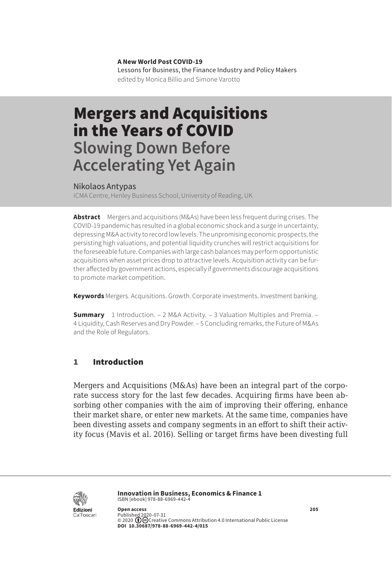**A New World Post COVID-19** Lessons for Business, the Finance Industry and Policy Makers edited by Monica Billio and Simone Varotto

# Mergers and Acquisitions in the Years of COVID **Slowing Down Before Accelerating Yet Again**

#### Nikolaos Antypas

ICMA Centre, Henley Business School, University of Reading, UK

**Abstract** Mergers and acquisitions (M&As) have been less frequent during crises. The COVID-19 pandemic has resulted in a global economic shock and a surge in uncertainty, depressing M&A activity to record low levels. The unpromising economic prospects, the persisting high valuations, and potential liquidity crunches will restrict acquisitions for the foreseeable future. Companies with large cash balances may perform opportunistic acquisitions when asset prices drop to attractive levels. Acquisition activity can be further affected by government actions, especially if governments discourage acquisitions to promote market competition.

**Keywords** Mergers. Acquisitions. Growth. Corporate investments. Investment banking.

**Summary** [1 Introduction.](#page-1-0) – [2 M&A Activity](#page-1-0). – [3 Valuation Multiples and Premia](#page-4-0). – 4 [Liquidity, Cash Reserves and Dry Powder.](#page-7-0) – [5 Concluding remarks, the Future of M&As](#page-10-0)  [and the Role of Regulators.](#page-10-0)

#### 1 Introduction

Mergers and Acquisitions (M&As) have been an integral part of the corporate success story for the last few decades. Acquiring firms have been absorbing other companies with the aim of improving their offering, enhance their market share, or enter new markets. At the same time, companies have been divesting assets and company segments in an effort to shift their activity focus (Mavis et al. 2016). Selling or target firms have been divesting full



**Innovation in Business, Economics & Finance 1** ISBN [ebook] 978-88-6969-442-4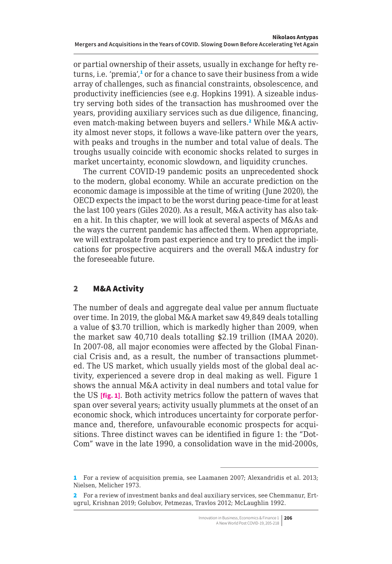<span id="page-1-0"></span>or partial ownership of their assets, usually in exchange for hefty returns, i.e. 'premia',<sup>1</sup> or for a chance to save their business from a wide array of challenges, such as financial constraints, obsolescence, and productivity inefficiencies (see e.g. Hopkins 1991). A sizeable industry serving both sides of the transaction has mushroomed over the years, providing auxiliary services such as due diligence, financing, even match-making between buyers and sellers.<sup>2</sup> While M&A activity almost never stops, it follows a wave-like pattern over the years, with peaks and troughs in the number and total value of deals. The troughs usually coincide with economic shocks related to surges in market uncertainty, economic slowdown, and liquidity crunches.

The current COVID-19 pandemic posits an unprecedented shock to the modern, global economy. While an accurate prediction on the economic damage is impossible at the time of writing (June 2020), the OECD expects the impact to be the worst during peace-time for at least the last 100 years (Giles 2020). As a result, M&A activity has also taken a hit. In this chapter, we will look at several aspects of M&As and the ways the current pandemic has affected them. When appropriate, we will extrapolate from past experience and try to predict the implications for prospective acquirers and the overall M&A industry for the foreseeable future.

### 2 M&A Activity

The number of deals and aggregate deal value per annum fluctuate over time. In 2019, the global M&A market saw 49,849 deals totalling a value of \$3.70 trillion, which is markedly higher than 2009, when the market saw 40,710 deals totalling \$2.19 trillion (IMAA 2020). In 2007-08, all major economies were affected by the Global Financial Crisis and, as a result, the number of transactions plummeted. The US market, which usually yields most of the global deal activity, experienced a severe drop in deal making as well. Figure 1 shows the annual M&A activity in deal numbers and total value for the US **[fig. 1]**. Both activity metrics follow the pattern of waves that span over several years; activity usually plummets at the onset of an economic shock, which introduces uncertainty for corporate performance and, therefore, unfavourable economic prospects for acquisitions. Three distinct waves can be identified in figure 1: the "Dot-Com" wave in the late 1990, a consolidation wave in the mid-2000s,

<sup>1</sup> For a review of acquisition premia, see Laamanen 2007; Alexandridis et al. 2013; Nielsen, Melicher 1973.

<sup>2</sup> For a review of investment banks and deal auxiliary services, see Chemmanur, Ertugrul, Krishnan 2019; Golubov, Petmezas, Travlos 2012; McLaughlin 1992.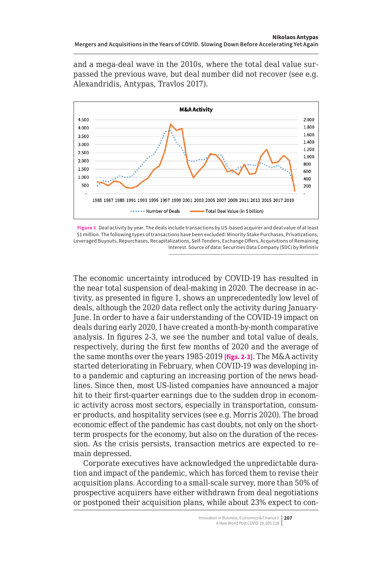and a mega-deal wave in the 2010s, where the total deal value surpassed the previous wave, but deal number did not recover (see e.g. Alexandridis, Antypas, Travlos 2017).



**Figure 1** Deal activity by year. The deals include transactions by US-based acquirer and deal value of at least \$1 million. The following types of transactions have been excluded: Minority Stake Purchases, Privatizations, Leveraged Buyouts, Repurchases, Recapitalizations, Self-Tenders, Exchange Offers, Acquisitions of Remaining Interest. Source of data: Securities Data Company (SDC) by Refinitiv

The economic uncertainty introduced by COVID-19 has resulted in the near total suspension of deal-making in 2020. The decrease in activity, as presented in figure 1, shows an unprecedentedly low level of deals, although the 2020 data reflect only the activity during January-June. In order to have a fair understanding of the COVID-19 impact on deals during early 2020, I have created a month-by-month comparative analysis. In figures 2-3, we see the number and total value of deals, respectively, during the first few months of 2020 and the average of the same months over the years 1985-2019 **[figs. 2-3]**. The M&A activity started deteriorating in February, when COVID-19 was developing into a pandemic and capturing an increasing portion of the news headlines. Since then, most US-listed companies have announced a major hit to their first-quarter earnings due to the sudden drop in economic activity across most sectors, especially in transportation, consumer products, and hospitality services (see e.g. Morris 2020). The broad economic effect of the pandemic has cast doubts, not only on the shortterm prospects for the economy, but also on the duration of the recession. As the crisis persists, transaction metrics are expected to remain depressed.

Corporate executives have acknowledged the unpredictable duration and impact of the pandemic, which has forced them to revise their acquisition plans. According to a small-scale survey, more than 50% of prospective acquirers have either withdrawn from deal negotiations or postponed their acquisition plans, while about 23% expect to con-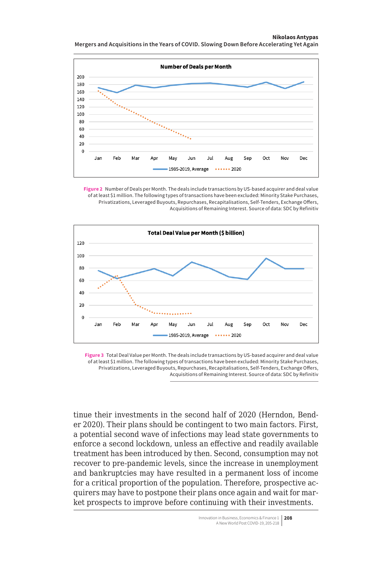#### **Nikolaos Antypas**

**Mergers and Acquisitions in the Years of COVID. Slowing Down Before Accelerating Yet Again**



**Figure 2** Number of Deals per Month. The deals include transactions by US-based acquirer and deal value of at least \$1 million. The following types of transactions have been excluded: Minority Stake Purchases, Privatizations, Leveraged Buyouts, Repurchases, Recapitalisations, Self-Tenders, Exchange Offers, Acquisitions of Remaining Interest. Source of data: SDC by Refinitiv



**Figure 3** Total Deal Value per Month. The deals include transactions by US-based acquirer and deal value of at least \$1 million. The following types of transactions have been excluded: Minority Stake Purchases, Privatizations, Leveraged Buyouts, Repurchases, Recapitalisations, Self-Tenders, Exchange Offers, Acquisitions of Remaining Interest. Source of data: SDC by Refinitiv

tinue their investments in the second half of 2020 (Herndon, Bender 2020). Their plans should be contingent to two main factors. First, a potential second wave of infections may lead state governments to enforce a second lockdown, unless an effective and readily available treatment has been introduced by then. Second, consumption may not recover to pre-pandemic levels, since the increase in unemployment and bankruptcies may have resulted in a permanent loss of income for a critical proportion of the population. Therefore, prospective acquirers may have to postpone their plans once again and wait for market prospects to improve before continuing with their investments.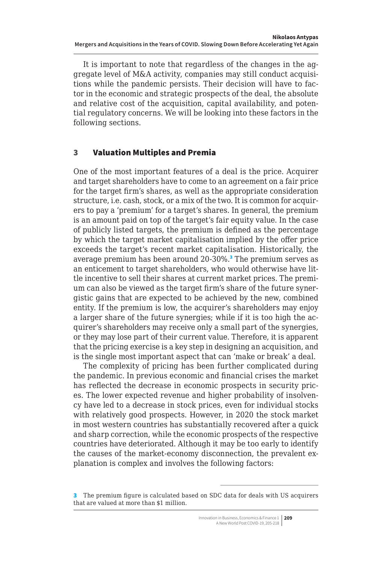<span id="page-4-0"></span>It is important to note that regardless of the changes in the aggregate level of M&A activity, companies may still conduct acquisitions while the pandemic persists. Their decision will have to factor in the economic and strategic prospects of the deal, the absolute and relative cost of the acquisition, capital availability, and potential regulatory concerns. We will be looking into these factors in the following sections.

#### 3 Valuation Multiples and Premia

One of the most important features of a deal is the price. Acquirer and target shareholders have to come to an agreement on a fair price for the target firm's shares, as well as the appropriate consideration structure, i.e. cash, stock, or a mix of the two. It is common for acquirers to pay a 'premium' for a target's shares. In general, the premium is an amount paid on top of the target's fair equity value. In the case of publicly listed targets, the premium is defined as the percentage by which the target market capitalisation implied by the offer price exceeds the target's recent market capitalisation. Historically, the average premium has been around 20-30%.<sup>3</sup> The premium serves as an enticement to target shareholders, who would otherwise have little incentive to sell their shares at current market prices. The premium can also be viewed as the target firm's share of the future synergistic gains that are expected to be achieved by the new, combined entity. If the premium is low, the acquirer's shareholders may enjoy a larger share of the future synergies; while if it is too high the acquirer's shareholders may receive only a small part of the synergies, or they may lose part of their current value. Therefore, it is apparent that the pricing exercise is a key step in designing an acquisition, and is the single most important aspect that can 'make or break' a deal.

The complexity of pricing has been further complicated during the pandemic. In previous economic and financial crises the market has reflected the decrease in economic prospects in security prices. The lower expected revenue and higher probability of insolvency have led to a decrease in stock prices, even for individual stocks with relatively good prospects. However, in 2020 the stock market in most western countries has substantially recovered after a quick and sharp correction, while the economic prospects of the respective countries have deteriorated. Although it may be too early to identify the causes of the market-economy disconnection, the prevalent explanation is complex and involves the following factors:

<sup>3</sup> The premium figure is calculated based on SDC data for deals with US acquirers that are valued at more than \$1 million.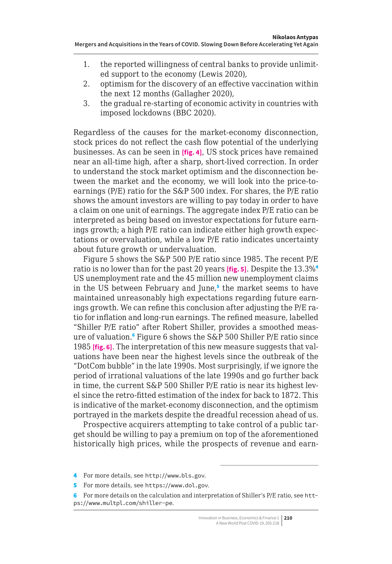- 1. the reported willingness of central banks to provide unlimited support to the economy (Lewis 2020),
- 2. optimism for the discovery of an effective vaccination within the next 12 months (Gallagher 2020),
- 3. the gradual re-starting of economic activity in countries with imposed lockdowns (BBC 2020).

Regardless of the causes for the market-economy disconnection, stock prices do not reflect the cash flow potential of the underlying businesses. As can be seen in **[fig. 4]**, US stock prices have remained near an all-time high, after a sharp, short-lived correction. In order to understand the stock market optimism and the disconnection between the market and the economy, we will look into the price-toearnings (P/E) ratio for the S&P 500 index. For shares, the P/E ratio shows the amount investors are willing to pay today in order to have a claim on one unit of earnings. The aggregate index P/E ratio can be interpreted as being based on investor expectations for future earnings growth; a high P/E ratio can indicate either high growth expectations or overvaluation, while a low P/E ratio indicates uncertainty about future growth or undervaluation.

Figure 5 shows the S&P 500 P/E ratio since 1985. The recent P/E ratio is no lower than for the past 20 years **[fig. 5]**. Despite the 13.3%<sup>4</sup> US unemployment rate and the 45 million new unemployment claims in the US between February and June,<sup>5</sup> the market seems to have maintained unreasonably high expectations regarding future earnings growth. We can refine this conclusion after adjusting the P/E ratio for inflation and long-run earnings. The refined measure, labelled "Shiller P/E ratio" after Robert Shiller, provides a smoothed measure of valuation.<sup>6</sup> Figure 6 shows the S&P 500 Shiller P/E ratio since 1985 **[fig. 6]**. The interpretation of this new measure suggests that valuations have been near the highest levels since the outbreak of the "DotCom bubble" in the late 1990s. Most surprisingly, if we ignore the period of irrational valuations of the late 1990s and go further back in time, the current S&P 500 Shiller P/E ratio is near its highest level since the retro-fitted estimation of the index for back to 1872. This is indicative of the market-economy disconnection, and the optimism portrayed in the markets despite the dreadful recession ahead of us.

Prospective acquirers attempting to take control of a public target should be willing to pay a premium on top of the aforementioned historically high prices, while the prospects of revenue and earn-

4 For more details, see <http://www.bls.gov>.

5 For more details, see <https://www.dol.gov>.

<sup>6</sup> For more details on the calculation and interpretation of Shiller's P/E ratio, see [htt](https://www.multpl.com/shiller-pe)[ps://www.multpl.com/shiller-pe](https://www.multpl.com/shiller-pe).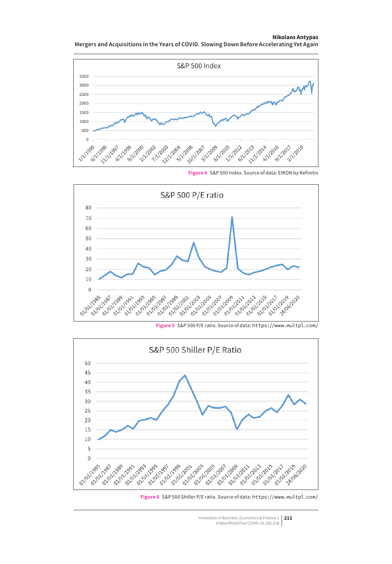#### **Nikolaos Antypas Mergers and Acquisitions in the Years of COVID. Slowing Down Before Accelerating Yet Again**





**Figure 4** S&P 500 Index. Source of data: EIKON by Refinitiv

**Figure 5** S&P 500 P/E ratio. Source of data: <https://www.multpl.com/>



Innovation in Business, Economics & Finance 1 **211** A New World Post COVID-19, 205-218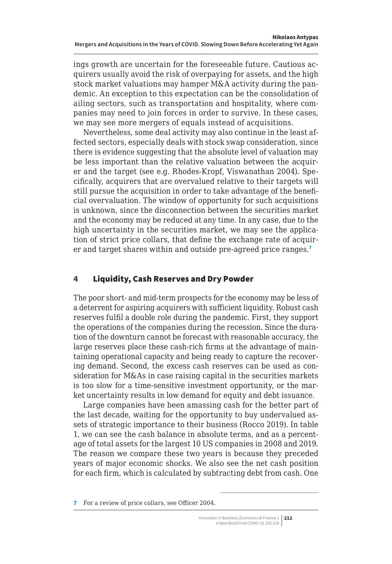<span id="page-7-0"></span>ings growth are uncertain for the foreseeable future. Cautious acquirers usually avoid the risk of overpaying for assets, and the high stock market valuations may hamper M&A activity during the pandemic. An exception to this expectation can be the consolidation of ailing sectors, such as transportation and hospitality, where companies may need to join forces in order to survive. In these cases, we may see more mergers of equals instead of acquisitions.

Nevertheless, some deal activity may also continue in the least affected sectors, especially deals with stock swap consideration, since there is evidence suggesting that the absolute level of valuation may be less important than the relative valuation between the acquirer and the target (see e.g. Rhodes‐Kropf, Viswanathan 2004). Specifically, acquirers that are overvalued relative to their targets will still pursue the acquisition in order to take advantage of the beneficial overvaluation. The window of opportunity for such acquisitions is unknown, since the disconnection between the securities market and the economy may be reduced at any time. In any case, due to the high uncertainty in the securities market, we may see the application of strict price collars, that define the exchange rate of acquirer and target shares within and outside pre-agreed price ranges.<sup>7</sup>

## 4 Liquidity, Cash Reserves and Dry Powder

The poor short- and mid-term prospects for the economy may be less of a deterrent for aspiring acquirers with sufficient liquidity. Robust cash reserves fulfil a double role during the pandemic. First, they support the operations of the companies during the recession. Since the duration of the downturn cannot be forecast with reasonable accuracy, the large reserves place these cash-rich firms at the advantage of maintaining operational capacity and being ready to capture the recovering demand. Second, the excess cash reserves can be used as consideration for M&As in case raising capital in the securities markets is too slow for a time-sensitive investment opportunity, or the market uncertainty results in low demand for equity and debt issuance.

Large companies have been amassing cash for the better part of the last decade, waiting for the opportunity to buy undervalued assets of strategic importance to their business (Rocco 2019). In table 1, we can see the cash balance in absolute terms, and as a percentage of total assets for the largest 10 US companies in 2008 and 2019. The reason we compare these two years is because they preceded years of major economic shocks. We also see the net cash position for each firm, which is calculated by subtracting debt from cash. One

<sup>7</sup> For a review of price collars, see Officer 2004.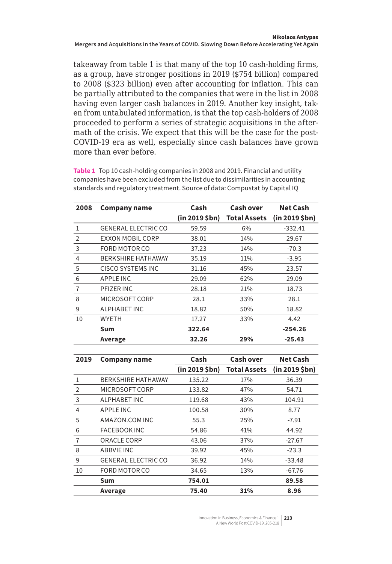takeaway from table 1 is that many of the top 10 cash-holding firms, as a group, have stronger positions in 2019 (\$754 billion) compared to 2008 (\$323 billion) even after accounting for inflation. This can be partially attributed to the companies that were in the list in 2008 having even larger cash balances in 2019. Another key insight, taken from untabulated information, is that the top cash-holders of 2008 proceeded to perform a series of strategic acquisitions in the aftermath of the crisis. We expect that this will be the case for the post-COVID-19 era as well, especially since cash balances have grown more than ever before.

**Table 1** Top 10 cash-holding companies in 2008 and 2019. Financial and utility companies have been excluded from the list due to dissimilarities in accounting standards and regulatory treatment. Source of data: Compustat by Capital IQ

| 2008           | Company name               | Cash           | <b>Cash over</b>    | Net Cash      |
|----------------|----------------------------|----------------|---------------------|---------------|
|                |                            | (in 2019 \$bn) | <b>Total Assets</b> | (in 2019 5bn) |
| 1              | <b>GENERAL ELECTRIC CO</b> | 59.59          | 6%                  | $-332.41$     |
| $\overline{2}$ | EXXON MOBIL CORP           | 38.01          | 14%                 | 29.67         |
| 3              | FORD MOTOR CO              | 37.23          | 14%                 | $-70.3$       |
| $\overline{4}$ | <b>BERKSHIRE HATHAWAY</b>  | 35.19          | 11%                 | $-3.95$       |
| 5              | CISCO SYSTEMS INC          | 31.16          | 45%                 | 23.57         |
| 6              | <b>APPLE INC</b>           | 29.09          | 62%                 | 29.09         |
| $\overline{7}$ | PFIZER INC                 | 28.18          | 21%                 | 18.73         |
| 8              | MICROSOFT CORP             | 28.1           | 33%                 | 28.1          |
| 9              | ALPHABET INC               | 18.82          | 50%                 | 18.82         |
| 10             | <b>WYETH</b>               | 17.27          | 33%                 | 4.42          |
|                | Sum                        | 322.64         |                     | $-254.26$     |
|                | Average                    | 32.26          | 29%                 | $-25.43$      |

| 2019           | <b>Company name</b>        | Cash                 | <b>Cash over</b>    | <b>Net Cash</b> |
|----------------|----------------------------|----------------------|---------------------|-----------------|
|                |                            | $(in 2019 $ \$bn $)$ | <b>Total Assets</b> | (in 2019 5bn)   |
| 1              | <b>BERKSHIRE HATHAWAY</b>  | 135.22               | 17%                 | 36.39           |
| $\overline{2}$ | MICROSOFT CORP             | 133.82               | 47%                 | 54.71           |
| 3              | ALPHABET INC               | 119.68               | 43%                 | 104.91          |
| 4              | <b>APPLE INC</b>           | 100.58               | 30%                 | 8.77            |
| 5              | AMAZON.COM INC             | 55.3                 | 25%                 | $-7.91$         |
| 6              | <b>FACEBOOK INC</b>        | 54.86                | 41%                 | 44.92           |
| $\overline{7}$ | ORACLE CORP                | 43.06                | 37%                 | $-27.67$        |
| 8              | <b>ABBVIE INC</b>          | 39.92                | 45%                 | $-23.3$         |
| 9              | <b>GENERAL ELECTRIC CO</b> | 36.92                | 14%                 | $-33.48$        |
| 10             | FORD MOTOR CO              | 34.65                | 13%                 | $-67.76$        |
|                | Sum                        | 754.01               |                     | 89.58           |
|                | Average                    | 75.40                | 31%                 | 8.96            |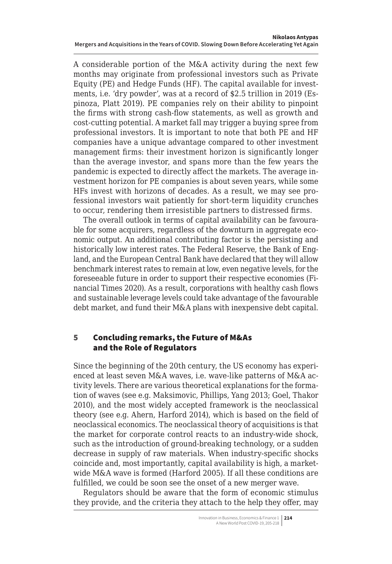A considerable portion of the M&A activity during the next few months may originate from professional investors such as Private Equity (PE) and Hedge Funds (HF). The capital available for investments, i.e. 'dry powder', was at a record of \$2.5 trillion in 2019 (Espinoza, Platt 2019). PE companies rely on their ability to pinpoint the firms with strong cash-flow statements, as well as growth and cost-cutting potential. A market fall may trigger a buying spree from professional investors. It is important to note that both PE and HF companies have a unique advantage compared to other investment management firms: their investment horizon is significantly longer than the average investor, and spans more than the few years the pandemic is expected to directly affect the markets. The average investment horizon for PE companies is about seven years, while some HFs invest with horizons of decades. As a result, we may see professional investors wait patiently for short-term liquidity crunches to occur, rendering them irresistible partners to distressed firms.

The overall outlook in terms of capital availability can be favourable for some acquirers, regardless of the downturn in aggregate economic output. An additional contributing factor is the persisting and historically low interest rates. The Federal Reserve, the Bank of England, and the European Central Bank have declared that they will allow benchmark interest rates to remain at low, even negative levels, for the foreseeable future in order to support their respective economies (Financial Times 2020). As a result, corporations with healthy cash flows and sustainable leverage levels could take advantage of the favourable debt market, and fund their M&A plans with inexpensive debt capital.

### 5 Concluding remarks, the Future of M&As and the Role of Regulators

Since the beginning of the 20th century, the US economy has experienced at least seven M&A waves, i.e. wave-like patterns of M&A activity levels. There are various theoretical explanations for the formation of waves (see e.g. Maksimovic, Phillips, Yang 2013; Goel, Thakor 2010), and the most widely accepted framework is the neoclassical theory (see e.g. Ahern, Harford 2014), which is based on the field of neoclassical economics. The neoclassical theory of acquisitions is that the market for corporate control reacts to an industry-wide shock, such as the introduction of ground-breaking technology, or a sudden decrease in supply of raw materials. When industry-specific shocks coincide and, most importantly, capital availability is high, a marketwide M&A wave is formed (Harford 2005). If all these conditions are fulfilled, we could be soon see the onset of a new merger wave.

Regulators should be aware that the form of economic stimulus they provide, and the criteria they attach to the help they offer, may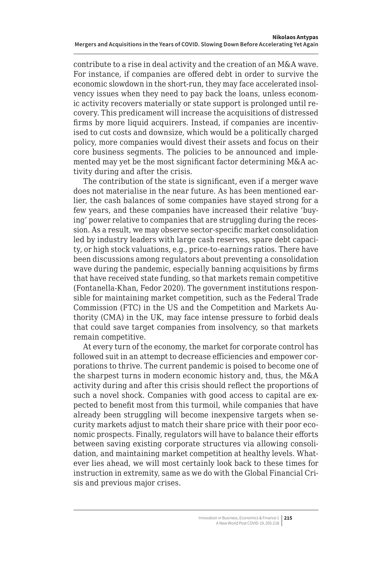<span id="page-10-0"></span>contribute to a rise in deal activity and the creation of an M&A wave. For instance, if companies are offered debt in order to survive the economic slowdown in the short-run, they may face accelerated insolvency issues when they need to pay back the loans, unless economic activity recovers materially or state support is prolonged until recovery. This predicament will increase the acquisitions of distressed firms by more liquid acquirers. Instead, if companies are incentivised to cut costs and downsize, which would be a politically charged policy, more companies would divest their assets and focus on their core business segments. The policies to be announced and implemented may yet be the most significant factor determining M&A activity during and after the crisis.

The contribution of the state is significant, even if a merger wave does not materialise in the near future. As has been mentioned earlier, the cash balances of some companies have stayed strong for a few years, and these companies have increased their relative 'buying' power relative to companies that are struggling during the recession. As a result, we may observe sector-specific market consolidation led by industry leaders with large cash reserves, spare debt capacity, or high stock valuations, e.g., price-to-earnings ratios. There have been discussions among regulators about preventing a consolidation wave during the pandemic, especially banning acquisitions by firms that have received state funding, so that markets remain competitive (Fontanella-Khan, Fedor 2020). The government institutions responsible for maintaining market competition, such as the Federal Trade Commission (FTC) in the US and the Competition and Markets Authority (CMA) in the UK, may face intense pressure to forbid deals that could save target companies from insolvency, so that markets remain competitive.

At every turn of the economy, the market for corporate control has followed suit in an attempt to decrease efficiencies and empower corporations to thrive. The current pandemic is poised to become one of the sharpest turns in modern economic history and, thus, the M&A activity during and after this crisis should reflect the proportions of such a novel shock. Companies with good access to capital are expected to benefit most from this turmoil, while companies that have already been struggling will become inexpensive targets when security markets adjust to match their share price with their poor economic prospects. Finally, regulators will have to balance their efforts between saving existing corporate structures via allowing consolidation, and maintaining market competition at healthy levels. Whatever lies ahead, we will most certainly look back to these times for instruction in extremity, same as we do with the Global Financial Crisis and previous major crises.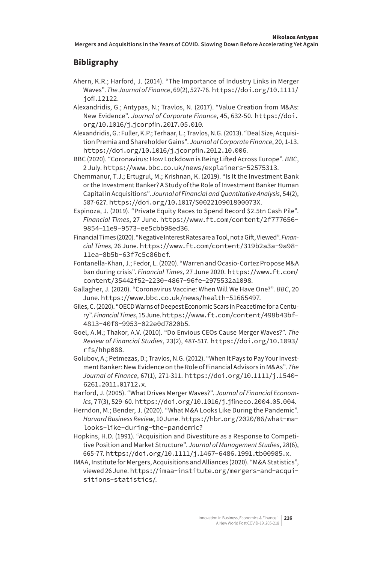## **Bibligraphy**

- Ahern, K.R.; Harford, J. (2014). "The Importance of Industry Links in Merger Waves". *The Journal of Finance*, 69(2), 527-76. [https://doi.org/10.1111/](https://doi.org/10.1111/jofi.12122) [jofi.12122](https://doi.org/10.1111/jofi.12122).
- Alexandridis, G.; Antypas, N.; Travlos, N. (2017). "Value Creation from M&As: New Evidence". *Journal of Corporate Finance*, 45, 632-50. [https://doi.](https://doi.org/10.1016/j.jcorpfin.2017.05.010) [org/10.1016/j.jcorpfin.2017.05.010](https://doi.org/10.1016/j.jcorpfin.2017.05.010).
- Alexandridis, G.: Fuller, K.P.; Terhaar, L.; Travlos, N.G. (2013). "Deal Size, Acquisition Premia and Shareholder Gains". *Journal of Corporate Finance*, 20, 1-13. <https://doi.org/10.1016/j.jcorpfin.2012.10.006>.
- BBC (2020). "Coronavirus: How Lockdown is Being Lifted Across Europe". *BBC*, 2 July. <https://www.bbc.co.uk/news/explainers-52575313>.
- Chemmanur, T.J.; Ertugrul, M.; Krishnan, K. (2019). "Is It the Investment Bank or the Investment Banker? A Study of the Role of Investment Banker Human Capital in Acquisitions". *Journal of Financial and Quantitative Analysis*, 54(2), 587-627. <https://doi.org/10.1017/S002210901800073X>.
- Espinoza, J. (2019). "Private Equity Races to Spend Record \$2.5tn Cash Pile". *Financial Times*, 27 June. [https://www.ft.com/content/2f777656-](https://www.ft.com/content/2f777656-9854-11e9-9573-ee5cbb98ed36) [9854-11e9-9573-ee5cbb98ed36](https://www.ft.com/content/2f777656-9854-11e9-9573-ee5cbb98ed36).
- Financial Times (2020). "Negative Interest Rates are a Tool, not a Gift, Viewed". *Financial Times*, 26 June. [https://www.ft.com/content/319b2a3a-9a98-](https://www.ft.com/content/319b2a3a-9a98-11ea-8b5b-63f7c5c86bef) [11ea-8b5b-63f7c5c86bef](https://www.ft.com/content/319b2a3a-9a98-11ea-8b5b-63f7c5c86bef).
- Fontanella-Khan, J.; Fedor, L. (2020). "Warren and Ocasio-Cortez Propose M&A ban during crisis". *Financial Times*, 27 June 2020. [https://www.ft.com/](https://www.ft.com/content/35442f52-2230-4867-96fe-2975532a1098) [content/35442f52-2230-4867-96fe-2975532a1098](https://www.ft.com/content/35442f52-2230-4867-96fe-2975532a1098).
- Gallagher, J. (2020). "Coronavirus Vaccine: When Will We Have One?". *BBC*, 20 June. <https://www.bbc.co.uk/news/health-51665497>.
- Giles, C. (2020). "OECD Warns of Deepest Economic Scars in Peacetime for a Century". *Financial Times*, 15 June. [https://www.ft.com/content/498b43bf-](https://www.ft.com/content/498b43bf-4813-40f8-9953-022e0d7820b5)[4813-40f8-9953-022e0d7820b5](https://www.ft.com/content/498b43bf-4813-40f8-9953-022e0d7820b5).
- Goel, A.M.; Thakor, A.V. (2010). "Do Envious CEOs Cause Merger Waves?". *The Review of Financial Studies*, 23(2), 487-517. [https://doi.org/10.1093/](https://doi.org/10.1093/rfs/hhp088) [rfs/hhp088](https://doi.org/10.1093/rfs/hhp088).
- Golubov, A.; Petmezas, D.; Travlos, N.G. (2012). "When It Pays to Pay Your Investment Banker: New Evidence on the Role of Financial Advisors in M&As". *The Journal of Finance*, 67(1), 271-311. [https://doi.org/10.1111/j.1540-](https://doi.org/10.1111/j.1540-6261.2011.01712.x) [6261.2011.01712.x](https://doi.org/10.1111/j.1540-6261.2011.01712.x).
- Harford, J. (2005). "What Drives Merger Waves?". *Journal of Financial Economics*, 77(3), 529-60. <https://doi.org/10.1016/j.jfineco.2004.05.004>.
- Herndon, M.; Bender, J. (2020). "What M&A Looks Like During the Pandemic". *Harvard Business Review*, 10 June. [https://hbr.org/2020/06/what-ma](https://hbr.org/2020/06/what-ma-looks-like-during-the-pandemic?)[looks-like-during-the-pandemic?](https://hbr.org/2020/06/what-ma-looks-like-during-the-pandemic?)
- Hopkins, H.D. (1991). "Acquisition and Divestiture as a Response to Competitive Position and Market Structure". *Journal of Management Studies*, 28(6), 665-77. <https://doi.org/10.1111/j.1467-6486.1991.tb00985.x>.
- IMAA, Institute for Mergers, Acquisitions and Alliances (2020). "M&A Statistics", viewed 26 June. [https://imaa-institute.org/mergers-and-acqui](https://imaa-institute.org/mergers-and-acquisitions-statistics/)[sitions-statistics/](https://imaa-institute.org/mergers-and-acquisitions-statistics/).